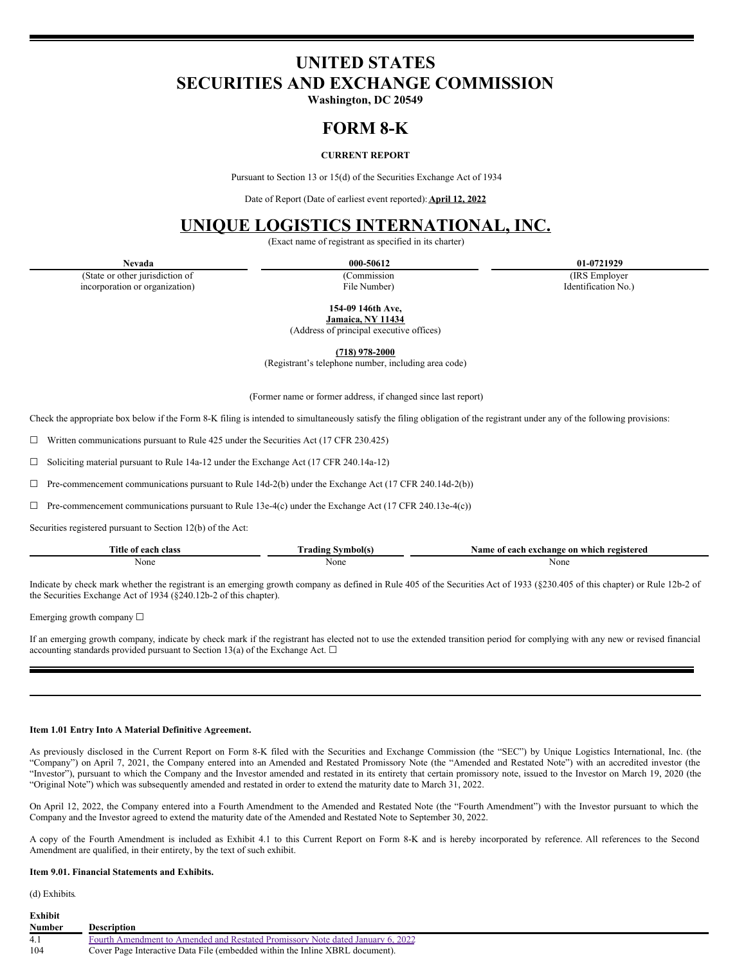# **UNITED STATES SECURITIES AND EXCHANGE COMMISSION**

**Washington, DC 20549**

# **FORM 8-K**

# **CURRENT REPORT**

Pursuant to Section 13 or 15(d) of the Securities Exchange Act of 1934

Date of Report (Date of earliest event reported): **April 12, 2022**

# **UNIQUE LOGISTICS INTERNATIONAL, INC.**

(Exact name of registrant as specified in its charter)

(State or other jurisdiction of incorporation or organization)

(Commission File Number)

**Nevada 000-50612 01-0721929**

(IRS Employer Identification No.)

**154-09 146th Ave,**

**Jamaica, NY 11434** (Address of principal executive offices)

**(718) 978-2000**

(Registrant's telephone number, including area code)

(Former name or former address, if changed since last report)

Check the appropriate box below if the Form 8-K filing is intended to simultaneously satisfy the filing obligation of the registrant under any of the following provisions:

☐ Written communications pursuant to Rule 425 under the Securities Act (17 CFR 230.425)

☐ Soliciting material pursuant to Rule 14a-12 under the Exchange Act (17 CFR 240.14a-12)

 $\Box$  Pre-commencement communications pursuant to Rule 14d-2(b) under the Exchange Act (17 CFR 240.14d-2(b))

 $\Box$  Pre-commencement communications pursuant to Rule 13e-4(c) under the Exchange Act (17 CFR 240.13e-4(c))

Securities registered pursuant to Section 12(b) of the Act:

| cannot a<br>ïtle<br>. $0.08$<br>clas:<br>$\mathbf{u}$ | nbol(s<br><b>The State of the State of the State</b><br>. radıng " | ı which registered<br>$\sqrt{2}$<br>∘on<br>each e<br>Achange - |
|-------------------------------------------------------|--------------------------------------------------------------------|----------------------------------------------------------------|
| None                                                  | None                                                               | None                                                           |
|                                                       |                                                                    | .                                                              |

Indicate by check mark whether the registrant is an emerging growth company as defined in Rule 405 of the Securities Act of 1933 (§230.405 of this chapter) or Rule 12b-2 of the Securities Exchange Act of 1934 (§240.12b-2 of this chapter).

Emerging growth company ☐

If an emerging growth company, indicate by check mark if the registrant has elected not to use the extended transition period for complying with any new or revised financial accounting standards provided pursuant to Section 13(a) of the Exchange Act.  $\Box$ 

#### **Item 1.01 Entry Into A Material Definitive Agreement.**

As previously disclosed in the Current Report on Form 8-K filed with the Securities and Exchange Commission (the "SEC") by Unique Logistics International, Inc. (the "Company") on April 7, 2021, the Company entered into an Amended and Restated Promissory Note (the "Amended and Restated Note") with an accredited investor (the "Investor"), pursuant to which the Company and the Investor amended and restated in its entirety that certain promissory note, issued to the Investor on March 19, 2020 (the "Original Note") which was subsequently amended and restated in order to extend the maturity date to March 31, 2022.

On April 12, 2022, the Company entered into a Fourth Amendment to the Amended and Restated Note (the "Fourth Amendment") with the Investor pursuant to which the Company and the Investor agreed to extend the maturity date of the Amended and Restated Note to September 30, 2022.

A copy of the Fourth Amendment is included as Exhibit 4.1 to this Current Report on Form 8-K and is hereby incorporated by reference. All references to the Second Amendment are qualified, in their entirety, by the text of such exhibit.

### **Item 9.01. Financial Statements and Exhibits.**

(d) Exhibits*.*

| Exhibit       |                                                                                |
|---------------|--------------------------------------------------------------------------------|
| <b>Number</b> | <b>Description</b>                                                             |
| 4.1           | Fourth Amendment to Amended and Restated Promissory Note dated January 6, 2022 |
| -104          | Cover Page Interactive Data File (embedded within the Inline XBRL document).   |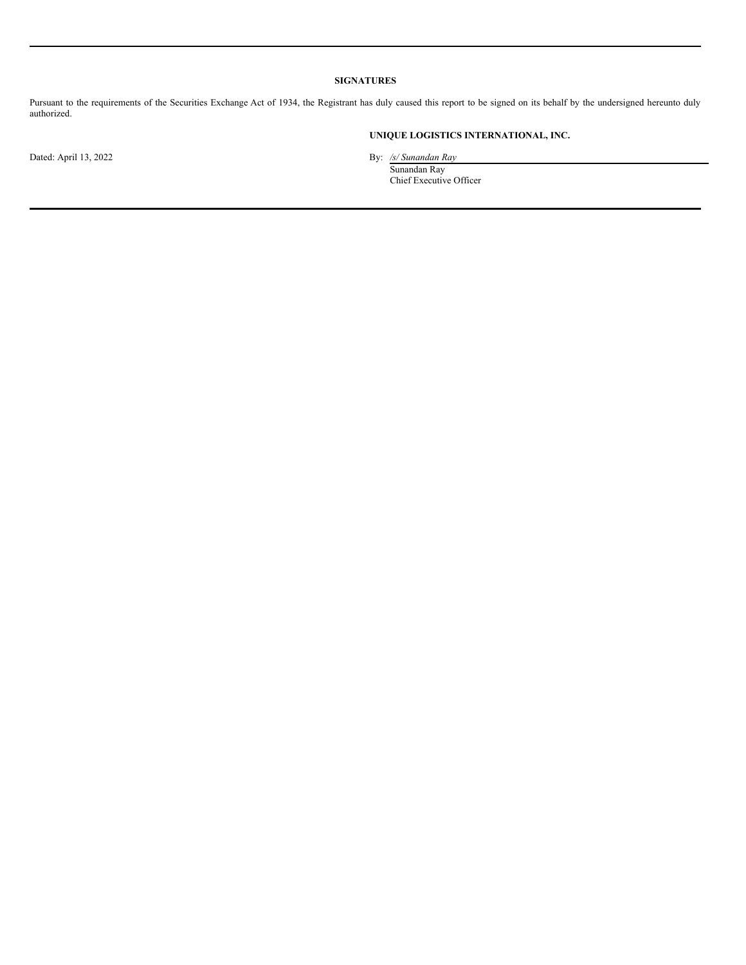## **SIGNATURES**

Pursuant to the requirements of the Securities Exchange Act of 1934, the Registrant has duly caused this report to be signed on its behalf by the undersigned hereunto duly authorized.

## **UNIQUE LOGISTICS INTERNATIONAL, INC.**

Dated: April 13, 2022 By: */s/ Sunandan Ray* Sunandan Ray

Chief Executive Officer